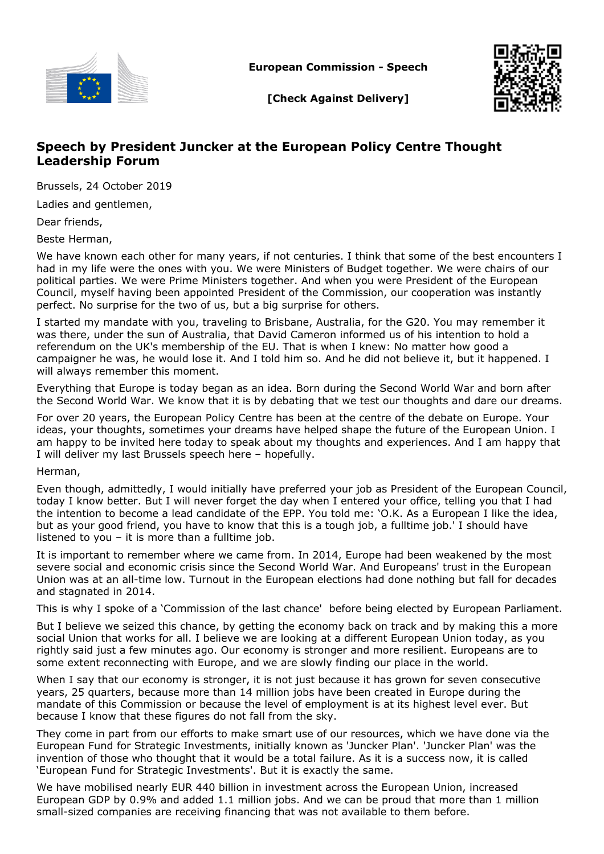

**European Commission - Speech**



**[Check Against Delivery]**

## **Speech by President Juncker at the European Policy Centre Thought Leadership Forum**

Brussels, 24 October 2019

Ladies and gentlemen,

Dear friends,

Beste Herman,

We have known each other for many years, if not centuries. I think that some of the best encounters I had in my life were the ones with you. We were Ministers of Budget together. We were chairs of our political parties. We were Prime Ministers together. And when you were President of the European Council, myself having been appointed President of the Commission, our cooperation was instantly perfect. No surprise for the two of us, but a big surprise for others.

I started my mandate with you, traveling to Brisbane, Australia, for the G20. You may remember it was there, under the sun of Australia, that David Cameron informed us of his intention to hold a referendum on the UK's membership of the EU. That is when I knew: No matter how good a campaigner he was, he would lose it. And I told him so. And he did not believe it, but it happened. I will always remember this moment.

Everything that Europe is today began as an idea. Born during the Second World War and born after the Second World War. We know that it is by debating that we test our thoughts and dare our dreams.

For over 20 years, the European Policy Centre has been at the centre of the debate on Europe. Your ideas, your thoughts, sometimes your dreams have helped shape the future of the European Union. I am happy to be invited here today to speak about my thoughts and experiences. And I am happy that I will deliver my last Brussels speech here – hopefully.

Herman,

Even though, admittedly, I would initially have preferred your job as President of the European Council, today I know better. But I will never forget the day when I entered your office, telling you that I had the intention to become a lead candidate of the EPP. You told me: 'O.K. As a European I like the idea, but as your good friend, you have to know that this is a tough job, a fulltime job.' I should have listened to you – it is more than a fulltime job.

It is important to remember where we came from. In 2014, Europe had been weakened by the most severe social and economic crisis since the Second World War. And Europeans' trust in the European Union was at an all-time low. Turnout in the European elections had done nothing but fall for decades and stagnated in 2014.

This is why I spoke of a 'Commission of the last chance' before being elected by European Parliament.

But I believe we seized this chance, by getting the economy back on track and by making this a more social Union that works for all. I believe we are looking at a different European Union today, as you rightly said just a few minutes ago. Our economy is stronger and more resilient. Europeans are to some extent reconnecting with Europe, and we are slowly finding our place in the world.

When I say that our economy is stronger, it is not just because it has grown for seven consecutive years, 25 quarters, because more than 14 million jobs have been created in Europe during the mandate of this Commission or because the level of employment is at its highest level ever. But because I know that these figures do not fall from the sky.

They come in part from our efforts to make smart use of our resources, which we have done via the European Fund for Strategic Investments, initially known as 'Juncker Plan'. 'Juncker Plan' was the invention of those who thought that it would be a total failure. As it is a success now, it is called 'European Fund for Strategic Investments'. But it is exactly the same.

We have mobilised nearly EUR 440 billion in investment across the European Union, increased European GDP by 0.9% and added 1.1 million jobs. And we can be proud that more than 1 million small-sized companies are receiving financing that was not available to them before.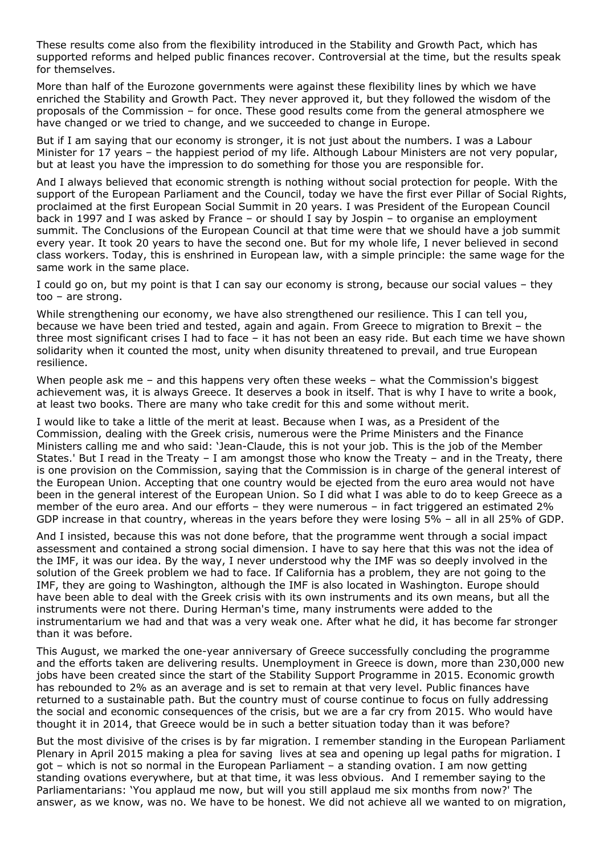These results come also from the flexibility introduced in the Stability and Growth Pact, which has supported reforms and helped public finances recover. Controversial at the time, but the results speak for themselves.

More than half of the Eurozone governments were against these flexibility lines by which we have enriched the Stability and Growth Pact. They never approved it, but they followed the wisdom of the proposals of the Commission – for once. These good results come from the general atmosphere we have changed or we tried to change, and we succeeded to change in Europe.

But if I am saying that our economy is stronger, it is not just about the numbers. I was a Labour Minister for 17 years – the happiest period of my life. Although Labour Ministers are not very popular, but at least you have the impression to do something for those you are responsible for.

And I always believed that economic strength is nothing without social protection for people. With the support of the European Parliament and the Council, today we have the first ever Pillar of Social Rights, proclaimed at the first European Social Summit in 20 years. I was President of the European Council back in 1997 and I was asked by France – or should I say by Jospin – to organise an employment summit. The Conclusions of the European Council at that time were that we should have a job summit every year. It took 20 years to have the second one. But for my whole life, I never believed in second class workers. Today, this is enshrined in European law, with a simple principle: the same wage for the same work in the same place.

I could go on, but my point is that I can say our economy is strong, because our social values – they too – are strong.

While strengthening our economy, we have also strengthened our resilience. This I can tell you, because we have been tried and tested, again and again. From Greece to migration to Brexit – the three most significant crises I had to face – it has not been an easy ride. But each time we have shown solidarity when it counted the most, unity when disunity threatened to prevail, and true European resilience.

When people ask me - and this happens very often these weeks - what the Commission's biggest achievement was, it is always Greece. It deserves a book in itself. That is why I have to write a book, at least two books. There are many who take credit for this and some without merit.

I would like to take a little of the merit at least. Because when I was, as a President of the Commission, dealing with the Greek crisis, numerous were the Prime Ministers and the Finance Ministers calling me and who said: 'Jean-Claude, this is not your job. This is the job of the Member States.' But I read in the Treaty – I am amongst those who know the Treaty – and in the Treaty, there is one provision on the Commission, saying that the Commission is in charge of the general interest of the European Union. Accepting that one country would be ejected from the euro area would not have been in the general interest of the European Union. So I did what I was able to do to keep Greece as a member of the euro area. And our efforts – they were numerous – in fact triggered an estimated 2% GDP increase in that country, whereas in the years before they were losing 5% – all in all 25% of GDP.

And I insisted, because this was not done before, that the programme went through a social impact assessment and contained a strong social dimension. I have to say here that this was not the idea of the IMF, it was our idea. By the way, I never understood why the IMF was so deeply involved in the solution of the Greek problem we had to face. If California has a problem, they are not going to the IMF, they are going to Washington, although the IMF is also located in Washington. Europe should have been able to deal with the Greek crisis with its own instruments and its own means, but all the instruments were not there. During Herman's time, many instruments were added to the instrumentarium we had and that was a very weak one. After what he did, it has become far stronger than it was before.

This August, we marked the one-year anniversary of Greece successfully concluding the programme and the efforts taken are delivering results. Unemployment in Greece is down, more than 230,000 new jobs have been created since the start of the Stability Support Programme in 2015. Economic growth has rebounded to 2% as an average and is set to remain at that very level. Public finances have returned to a sustainable path. But the country must of course continue to focus on fully addressing the social and economic consequences of the crisis, but we are a far cry from 2015. Who would have thought it in 2014, that Greece would be in such a better situation today than it was before?

But the most divisive of the crises is by far migration. I remember standing in the European Parliament Plenary in April 2015 making a plea for saving lives at sea and opening up legal paths for migration. I got – which is not so normal in the European Parliament – a standing ovation. I am now getting standing ovations everywhere, but at that time, it was less obvious. And I remember saying to the Parliamentarians: 'You applaud me now, but will you still applaud me six months from now?' The answer, as we know, was no. We have to be honest. We did not achieve all we wanted to on migration,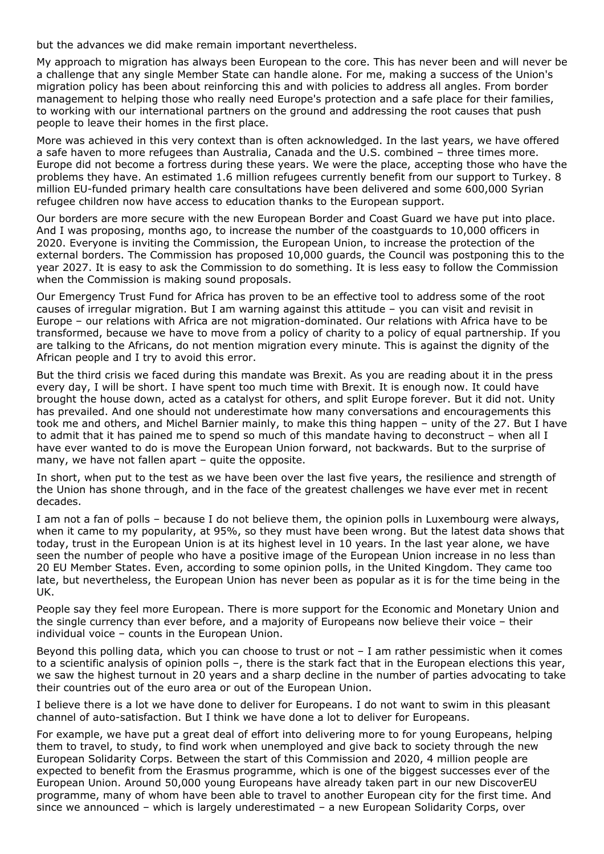but the advances we did make remain important nevertheless.

My approach to migration has always been European to the core. This has never been and will never be a challenge that any single Member State can handle alone. For me, making a success of the Union's migration policy has been about reinforcing this and with policies to address all angles. From border management to helping those who really need Europe's protection and a safe place for their families, to working with our international partners on the ground and addressing the root causes that push people to leave their homes in the first place.

More was achieved in this very context than is often acknowledged. In the last years, we have offered a safe haven to more refugees than Australia, Canada and the U.S. combined – three times more. Europe did not become a fortress during these years. We were the place, accepting those who have the problems they have. An estimated 1.6 million refugees currently benefit from our support to Turkey. 8 million EU-funded primary health care consultations have been delivered and some 600,000 Syrian refugee children now have access to education thanks to the European support.

Our borders are more secure with the new European Border and Coast Guard we have put into place. And I was proposing, months ago, to increase the number of the coastguards to 10,000 officers in 2020. Everyone is inviting the Commission, the European Union, to increase the protection of the external borders. The Commission has proposed 10,000 guards, the Council was postponing this to the year 2027. It is easy to ask the Commission to do something. It is less easy to follow the Commission when the Commission is making sound proposals.

Our Emergency Trust Fund for Africa has proven to be an effective tool to address some of the root causes of irregular migration. But I am warning against this attitude – you can visit and revisit in Europe – our relations with Africa are not migration-dominated. Our relations with Africa have to be transformed, because we have to move from a policy of charity to a policy of equal partnership. If you are talking to the Africans, do not mention migration every minute. This is against the dignity of the African people and I try to avoid this error.

But the third crisis we faced during this mandate was Brexit. As you are reading about it in the press every day, I will be short. I have spent too much time with Brexit. It is enough now. It could have brought the house down, acted as a catalyst for others, and split Europe forever. But it did not. Unity has prevailed. And one should not underestimate how many conversations and encouragements this took me and others, and Michel Barnier mainly, to make this thing happen – unity of the 27. But I have to admit that it has pained me to spend so much of this mandate having to deconstruct – when all I have ever wanted to do is move the European Union forward, not backwards. But to the surprise of many, we have not fallen apart – quite the opposite.

In short, when put to the test as we have been over the last five years, the resilience and strength of the Union has shone through, and in the face of the greatest challenges we have ever met in recent decades.

I am not a fan of polls – because I do not believe them, the opinion polls in Luxembourg were always, when it came to my popularity, at 95%, so they must have been wrong. But the latest data shows that today, trust in the European Union is at its highest level in 10 years. In the last year alone, we have seen the number of people who have a positive image of the European Union increase in no less than 20 EU Member States. Even, according to some opinion polls, in the United Kingdom. They came too late, but nevertheless, the European Union has never been as popular as it is for the time being in the UK.

People say they feel more European. There is more support for the Economic and Monetary Union and the single currency than ever before, and a majority of Europeans now believe their voice – their individual voice – counts in the European Union.

Beyond this polling data, which you can choose to trust or not – I am rather pessimistic when it comes to a scientific analysis of opinion polls –, there is the stark fact that in the European elections this year, we saw the highest turnout in 20 years and a sharp decline in the number of parties advocating to take their countries out of the euro area or out of the European Union.

I believe there is a lot we have done to deliver for Europeans. I do not want to swim in this pleasant channel of auto-satisfaction. But I think we have done a lot to deliver for Europeans.

For example, we have put a great deal of effort into delivering more to for young Europeans, helping them to travel, to study, to find work when unemployed and give back to society through the new European Solidarity Corps. Between the start of this Commission and 2020, 4 million people are expected to benefit from the Erasmus programme, which is one of the biggest successes ever of the European Union. Around 50,000 young Europeans have already taken part in our new DiscoverEU programme, many of whom have been able to travel to another European city for the first time. And since we announced – which is largely underestimated – a new European Solidarity Corps, over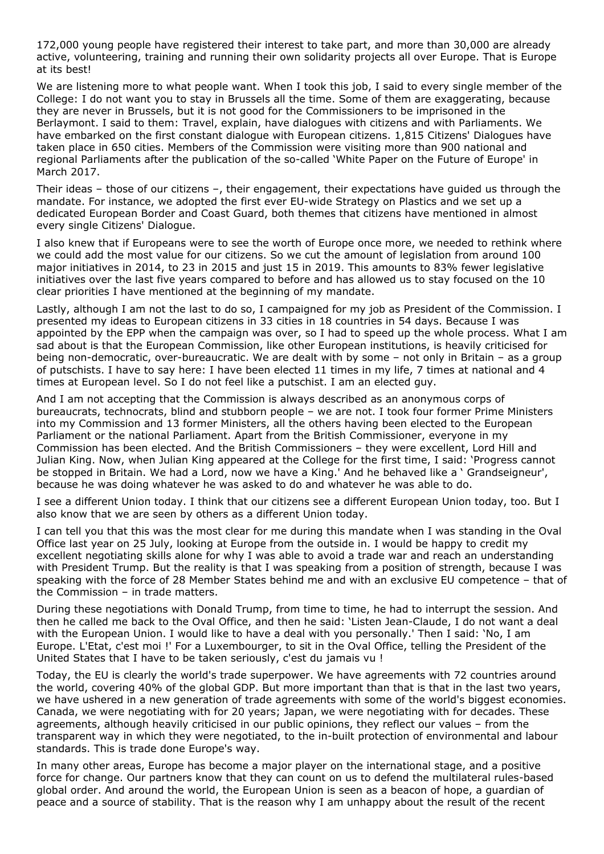172,000 young people have registered their interest to take part, and more than 30,000 are already active, volunteering, training and running their own solidarity projects all over Europe. That is Europe at its best!

We are listening more to what people want. When I took this job, I said to every single member of the College: I do not want you to stay in Brussels all the time. Some of them are exaggerating, because they are never in Brussels, but it is not good for the Commissioners to be imprisoned in the Berlaymont. I said to them: Travel, explain, have dialogues with citizens and with Parliaments. We have embarked on the first constant dialogue with European citizens. 1,815 Citizens' Dialogues have taken place in 650 cities. Members of the Commission were visiting more than 900 national and regional Parliaments after the publication of the so-called 'White Paper on the Future of Europe' in March 2017.

Their ideas – those of our citizens –, their engagement, their expectations have guided us through the mandate. For instance, we adopted the first ever EU-wide Strategy on Plastics and we set up a dedicated European Border and Coast Guard, both themes that citizens have mentioned in almost every single Citizens' Dialogue.

I also knew that if Europeans were to see the worth of Europe once more, we needed to rethink where we could add the most value for our citizens. So we cut the amount of legislation from around 100 major initiatives in 2014, to 23 in 2015 and just 15 in 2019. This amounts to 83% fewer legislative initiatives over the last five years compared to before and has allowed us to stay focused on the 10 clear priorities I have mentioned at the beginning of my mandate.

Lastly, although I am not the last to do so, I campaigned for my job as President of the Commission. I presented my ideas to European citizens in 33 cities in 18 countries in 54 days. Because I was appointed by the EPP when the campaign was over, so I had to speed up the whole process. What I am sad about is that the European Commission, like other European institutions, is heavily criticised for being non-democratic, over-bureaucratic. We are dealt with by some – not only in Britain – as a group of putschists. I have to say here: I have been elected 11 times in my life, 7 times at national and 4 times at European level. So I do not feel like a putschist. I am an elected guy.

And I am not accepting that the Commission is always described as an anonymous corps of bureaucrats, technocrats, blind and stubborn people – we are not. I took four former Prime Ministers into my Commission and 13 former Ministers, all the others having been elected to the European Parliament or the national Parliament. Apart from the British Commissioner, everyone in my Commission has been elected. And the British Commissioners – they were excellent, Lord Hill and Julian King. Now, when Julian King appeared at the College for the first time, I said: 'Progress cannot be stopped in Britain. We had a Lord, now we have a King.' And he behaved like a ' Grandseigneur', because he was doing whatever he was asked to do and whatever he was able to do.

I see a different Union today. I think that our citizens see a different European Union today, too. But I also know that we are seen by others as a different Union today.

I can tell you that this was the most clear for me during this mandate when I was standing in the Oval Office last year on 25 July, looking at Europe from the outside in. I would be happy to credit my excellent negotiating skills alone for why I was able to avoid a trade war and reach an understanding with President Trump. But the reality is that I was speaking from a position of strength, because I was speaking with the force of 28 Member States behind me and with an exclusive EU competence – that of the Commission – in trade matters.

During these negotiations with Donald Trump, from time to time, he had to interrupt the session. And then he called me back to the Oval Office, and then he said: 'Listen Jean-Claude, I do not want a deal with the European Union. I would like to have a deal with you personally.' Then I said: 'No, I am Europe. L'Etat, c'est moi !' For a Luxembourger, to sit in the Oval Office, telling the President of the United States that I have to be taken seriously, c'est du jamais vu !

Today, the EU is clearly the world's trade superpower. We have agreements with 72 countries around the world, covering 40% of the global GDP. But more important than that is that in the last two years, we have ushered in a new generation of trade agreements with some of the world's biggest economies. Canada, we were negotiating with for 20 years; Japan, we were negotiating with for decades. These agreements, although heavily criticised in our public opinions, they reflect our values – from the transparent way in which they were negotiated, to the in-built protection of environmental and labour standards. This is trade done Europe's way.

In many other areas, Europe has become a major player on the international stage, and a positive force for change. Our partners know that they can count on us to defend the multilateral rules-based global order. And around the world, the European Union is seen as a beacon of hope, a guardian of peace and a source of stability. That is the reason why I am unhappy about the result of the recent